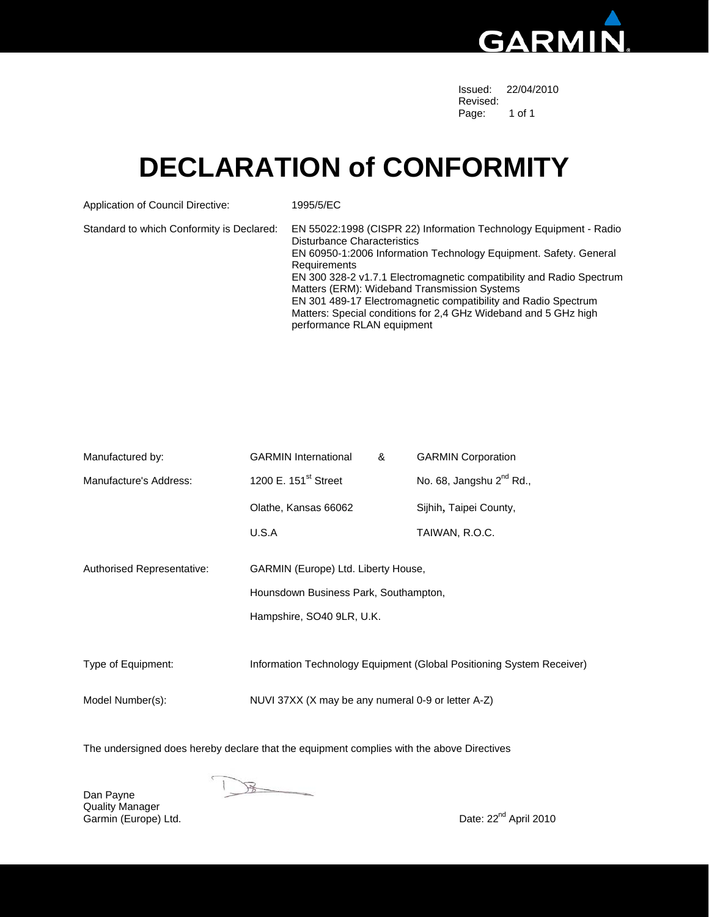

**Issued: 22/04/2010**<br>Revised: Revised: The contract of the contract of the contract of the contract of the contract of the contract of the contract of the contract of the contract of the contract of the contract of the contract of the contract of the c Page: 1 of 1

### **DECLARATION of CONFORMITY**

Application of Council Directive: 1995/5/EC

Standard to which Conformity is Declared: EN 55022:1998 (CISPR 22) Information Technology Equipment - Radio Disturbance Characteristics EN 60950-1:2006 Information Technology Equipment. Safety. General Requirements EN 300 328-2 v1.7.1 Electromagnetic compatibility and Radio Spectrum Matters (ERM): Wideband Transmission Systems EN 301 489-17 Electromagnetic compatibility and Radio Spectrum Matters: Special conditions for 2,4 GHz Wideband and 5 GHz high performance RLAN equipment

| Manufactured by:           | <b>GARMIN International</b><br>&                   | <b>GARMIN Corporation</b>                                             |  |  |
|----------------------------|----------------------------------------------------|-----------------------------------------------------------------------|--|--|
| Manufacture's Address:     | 1200 E. 151 <sup>st</sup> Street                   | No. 68, Jangshu 2 <sup>nd</sup> Rd.,                                  |  |  |
|                            | Olathe, Kansas 66062                               | Sijhih, Taipei County,                                                |  |  |
|                            | U.S.A                                              | TAIWAN, R.O.C.                                                        |  |  |
| Authorised Representative: | GARMIN (Europe) Ltd. Liberty House,                |                                                                       |  |  |
|                            | Hounsdown Business Park, Southampton,              |                                                                       |  |  |
|                            | Hampshire, SO40 9LR, U.K.                          |                                                                       |  |  |
|                            |                                                    |                                                                       |  |  |
| Type of Equipment:         |                                                    | Information Technology Equipment (Global Positioning System Receiver) |  |  |
| Model Number(s):           | NUVI 37XX (X may be any numeral 0-9 or letter A-Z) |                                                                       |  |  |

The undersigned does hereby declare that the equipment complies with the above Directives

Dan Payne Quality Manager Garmin (Europe) Ltd. 2010

 $\frac{1}{2}$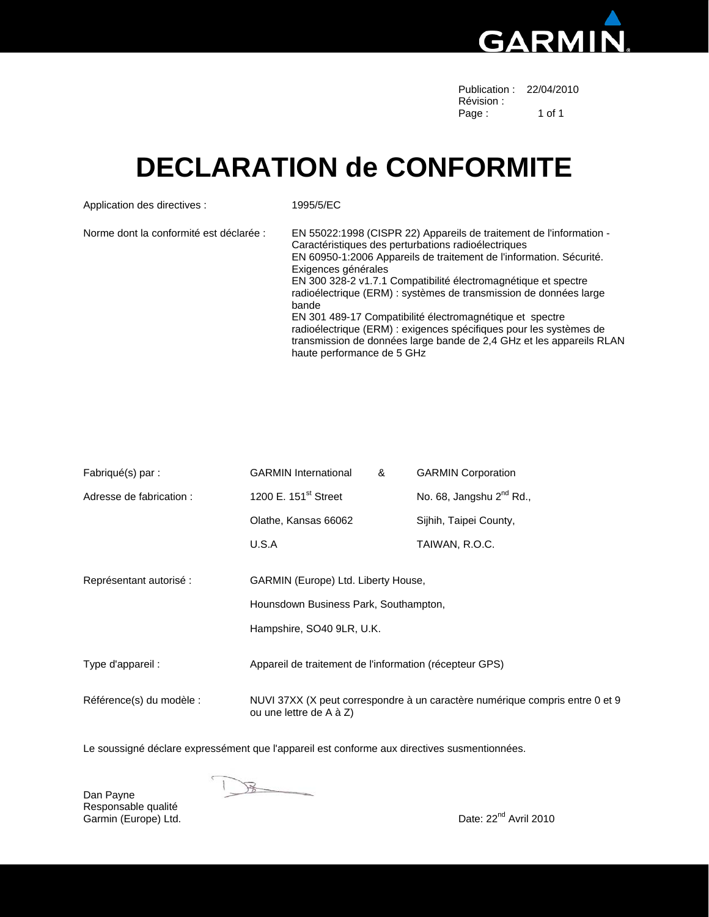

|            | Publication: 22/04/2010 |
|------------|-------------------------|
| Révision : |                         |
| Page :     | 1 of 1                  |

### **DECLARATION de CONFORMITE**

| Application des directives :            | 1995/5/EC                                                                                                                                                                                                                                                                                                                                                                                                                                                                                                                                                                                                        |
|-----------------------------------------|------------------------------------------------------------------------------------------------------------------------------------------------------------------------------------------------------------------------------------------------------------------------------------------------------------------------------------------------------------------------------------------------------------------------------------------------------------------------------------------------------------------------------------------------------------------------------------------------------------------|
| Norme dont la conformité est déclarée : | EN 55022:1998 (CISPR 22) Appareils de traitement de l'information -<br>Caractéristiques des perturbations radioélectriques<br>EN 60950-1:2006 Appareils de traitement de l'information. Sécurité.<br>Exigences générales<br>EN 300 328-2 v1.7.1 Compatibilité électromagnétique et spectre<br>radioélectrique (ERM) : systèmes de transmission de données large<br>bande<br>EN 301 489-17 Compatibilité électromagnétique et spectre<br>radioélectrique (ERM) : exigences spécifiques pour les systèmes de<br>transmission de données large bande de 2,4 GHz et les appareils RLAN<br>haute performance de 5 GHz |

| Fabriqué(s) par :        | <b>GARMIN International</b>                                                                               | & | <b>GARMIN Corporation</b>            |  |
|--------------------------|-----------------------------------------------------------------------------------------------------------|---|--------------------------------------|--|
| Adresse de fabrication:  | 1200 E. 151 <sup>st</sup> Street                                                                          |   | No. 68, Jangshu 2 <sup>nd</sup> Rd., |  |
|                          | Olathe, Kansas 66062                                                                                      |   | Sijhih, Taipei County,               |  |
|                          | U.S.A                                                                                                     |   | TAIWAN, R.O.C.                       |  |
| Représentant autorisé :  | GARMIN (Europe) Ltd. Liberty House,<br>Hounsdown Business Park, Southampton,<br>Hampshire, SO40 9LR, U.K. |   |                                      |  |
| Type d'appareil :        | Appareil de traitement de l'information (récepteur GPS)                                                   |   |                                      |  |
| Référence(s) du modèle : | NUVI 37XX (X peut correspondre à un caractère numérique compris entre 0 et 9<br>ou une lettre de A à Z)   |   |                                      |  |

Le soussigné déclare expressément que l'appareil est conforme aux directives susmentionnées.

Dan Payne Responsable qualité Garmin (Europe) Ltd. **Date: 22<sup>nd</sup> Avril 2010** 

 $\mathbb{B}-$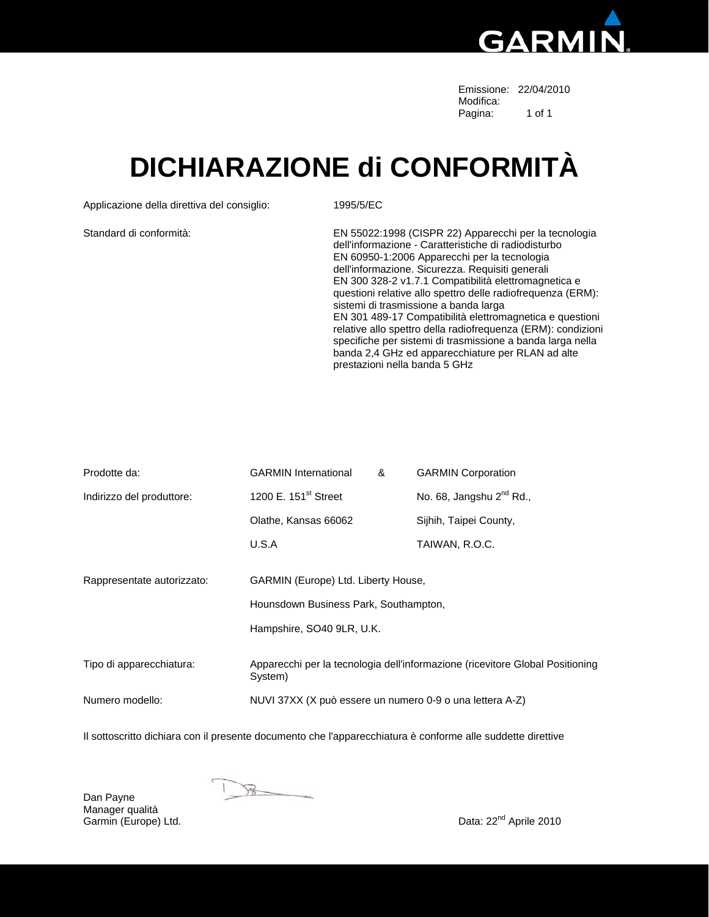

Emissione: 22/04/2010<br>Modifica: Modifica: which is a state of the control of the control of the Modifica: Pagina: 1 of 1

### **DICHIARAZIONE di CONFORMITÀ**

Applicazione della direttiva del consiglio: 1995/5/EC

Standard di conformità: EN 55022:1998 (CISPR 22) Apparecchi per la tecnologia dell'informazione - Caratteristiche di radiodisturbo EN 60950-1:2006 Apparecchi per la tecnologia dell'informazione. Sicurezza. Requisiti generali EN 300 328-2 v1.7.1 Compatibilità elettromagnetica e questioni relative allo spettro delle radiofrequenza (ERM): sistemi di trasmissione a banda larga EN 301 489-17 Compatibilità elettromagnetica e questioni relative allo spettro della radiofrequenza (ERM): condizioni specifiche per sistemi di trasmissione a banda larga nella banda 2,4 GHz ed apparecchiature per RLAN ad alte prestazioni nella banda 5 GHz

| Prodotte da:               | <b>GARMIN International</b>                                                  | & | <b>GARMIN Corporation</b>                                                     |  |
|----------------------------|------------------------------------------------------------------------------|---|-------------------------------------------------------------------------------|--|
| Indirizzo del produttore:  | 1200 E. 151 <sup>st</sup> Street                                             |   | No. 68, Jangshu 2 <sup>nd</sup> Rd.,                                          |  |
|                            | Olathe, Kansas 66062                                                         |   | Sijhih, Taipei County,                                                        |  |
|                            | U.S.A                                                                        |   | TAIWAN, R.O.C.                                                                |  |
| Rappresentate autorizzato: | GARMIN (Europe) Ltd. Liberty House,<br>Hounsdown Business Park, Southampton, |   |                                                                               |  |
|                            | Hampshire, SO40 9LR, U.K.                                                    |   |                                                                               |  |
| Tipo di apparecchiatura:   | System)                                                                      |   | Apparecchi per la tecnologia dell'informazione (ricevitore Global Positioning |  |
| Numero modello:            | NUVI 37XX (X può essere un numero 0-9 o una lettera A-Z)                     |   |                                                                               |  |

Il sottoscritto dichiara con il presente documento che l'apparecchiatura è conforme alle suddette direttive

Dan Payne Manager qualità<br>Garmin (Europe) Ltd.

 $\mathbb{B}-$ 

Data: 22<sup>nd</sup> Aprile 2010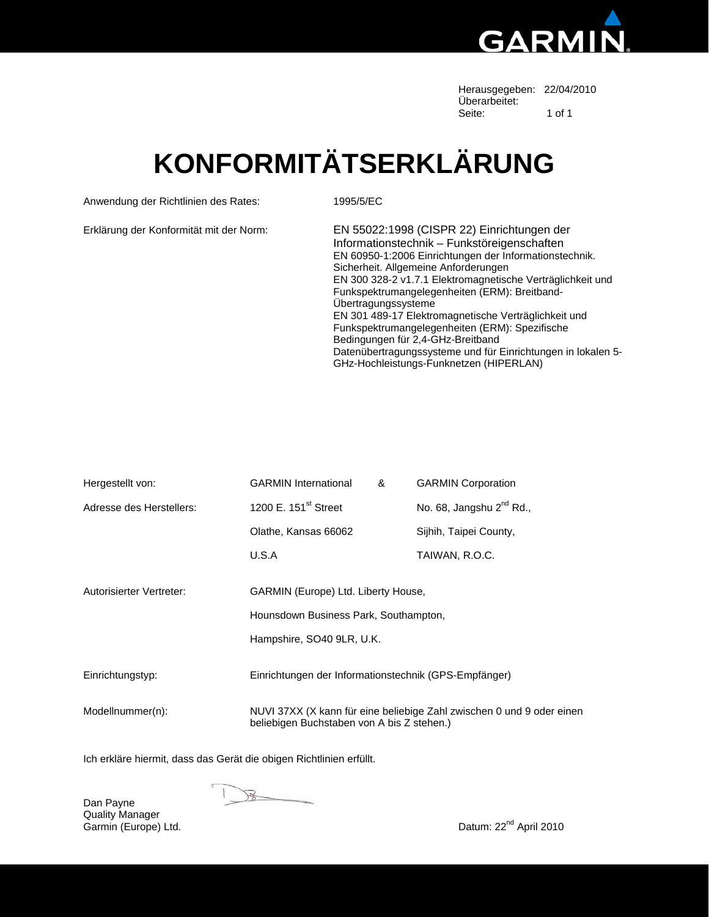

Herausgegeben: 22/04/2010 Überarbeitet:<br>Seite: Seite: 1 of 1

## **KONFORMITÄTSERKLÄRUNG**

Anwendung der Richtlinien des Rates: 1995/5/EC

Erklärung der Konformität mit der Norm: EN 55022:1998 (CISPR 22) Einrichtungen der Informationstechnik – Funkstöreigenschaften EN 60950-1:2006 Einrichtungen der Informationstechnik. Sicherheit. Allgemeine Anforderungen EN 300 328-2 v1.7.1 Elektromagnetische Verträglichkeit und Funkspektrumangelegenheiten (ERM): Breitband-Übertragungssysteme EN 301 489-17 Elektromagnetische Verträglichkeit und Funkspektrumangelegenheiten (ERM): Spezifische Bedingungen für 2,4-GHz-Breitband Datenübertragungssysteme und für Einrichtungen in lokalen 5- GHz-Hochleistungs-Funknetzen (HIPERLAN)

| Hergestellt von:         | <b>GARMIN International</b>                           | & | <b>GARMIN Corporation</b>                                             |  |
|--------------------------|-------------------------------------------------------|---|-----------------------------------------------------------------------|--|
| Adresse des Herstellers: | 1200 E. 151 <sup>st</sup> Street                      |   | No. 68, Jangshu 2 <sup>nd</sup> Rd.,                                  |  |
|                          | Olathe, Kansas 66062                                  |   | Sijhih, Taipei County,                                                |  |
|                          | U.S.A                                                 |   | TAIWAN, R.O.C.                                                        |  |
| Autorisierter Vertreter: | GARMIN (Europe) Ltd. Liberty House,                   |   |                                                                       |  |
|                          | Hounsdown Business Park, Southampton,                 |   |                                                                       |  |
|                          | Hampshire, SO40 9LR, U.K.                             |   |                                                                       |  |
| Einrichtungstyp:         | Einrichtungen der Informationstechnik (GPS-Empfänger) |   |                                                                       |  |
| Modellnummer(n):         | beliebigen Buchstaben von A bis Z stehen.)            |   | NUVI 37XX (X kann für eine beliebige Zahl zwischen 0 und 9 oder einen |  |

Ich erkläre hiermit, dass das Gerät die obigen Richtlinien erfüllt.

 $\mathbb{R}$ 

Dan Payne Quality Manager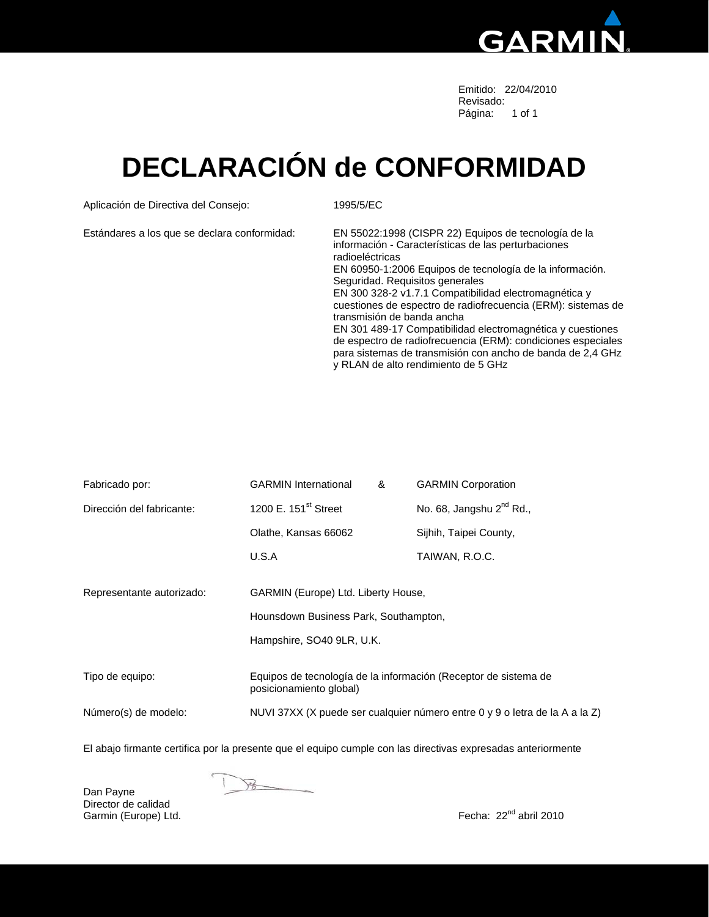

 Emitido: 22/04/2010 Revisado: Página: 1 of 1

# **DECLARACIÓN de CONFORMIDAD**

Aplicación de Directiva del Consejo: 1995/5/EC

| Estándares a los que se declara conformidad: | EN 55022:1998 (CISPR 22) Equipos de tecnología de la<br>información - Características de las perturbaciones<br>radioeléctricas<br>EN 60950-1:2006 Equipos de tecnología de la información.<br>Seguridad. Requisitos generales<br>EN 300 328-2 v1.7.1 Compatibilidad electromagnética y<br>cuestiones de espectro de radiofrecuencia (ERM): sistemas de<br>transmisión de banda ancha<br>EN 301 489-17 Compatibilidad electromagnética y cuestiones<br>de espectro de radiofrecuencia (ERM): condiciones especiales<br>para sistemas de transmisión con ancho de banda de 2,4 GHz<br>y RLAN de alto rendimiento de 5 GHz |
|----------------------------------------------|-------------------------------------------------------------------------------------------------------------------------------------------------------------------------------------------------------------------------------------------------------------------------------------------------------------------------------------------------------------------------------------------------------------------------------------------------------------------------------------------------------------------------------------------------------------------------------------------------------------------------|
|                                              |                                                                                                                                                                                                                                                                                                                                                                                                                                                                                                                                                                                                                         |

| Fabricado por:            | <b>GARMIN International</b>           | & | <b>GARMIN Corporation</b>                                                   |
|---------------------------|---------------------------------------|---|-----------------------------------------------------------------------------|
| Dirección del fabricante: | 1200 E. 151 <sup>st</sup> Street      |   | No. 68, Jangshu 2 <sup>nd</sup> Rd.,                                        |
|                           | Olathe, Kansas 66062                  |   | Sijhih, Taipei County,                                                      |
|                           | U.S.A                                 |   | TAIWAN, R.O.C.                                                              |
| Representante autorizado: | GARMIN (Europe) Ltd. Liberty House,   |   |                                                                             |
|                           | Hounsdown Business Park, Southampton, |   |                                                                             |
|                           | Hampshire, SO40 9LR, U.K.             |   |                                                                             |
| Tipo de equipo:           | posicionamiento global)               |   | Equipos de tecnología de la información (Receptor de sistema de             |
| Número(s) de modelo:      |                                       |   | NUVI 37XX (X puede ser cualquier número entre 0 y 9 o letra de la A a la Z) |
|                           |                                       |   |                                                                             |

El abajo firmante certifica por la presente que el equipo cumple con las directivas expresadas anteriormente

Dan Payne Director de calidad<br>Garmin (Europe) Ltd.

 $\frac{1}{2}$ 

Fecha: 22<sup>nd</sup> abril 2010